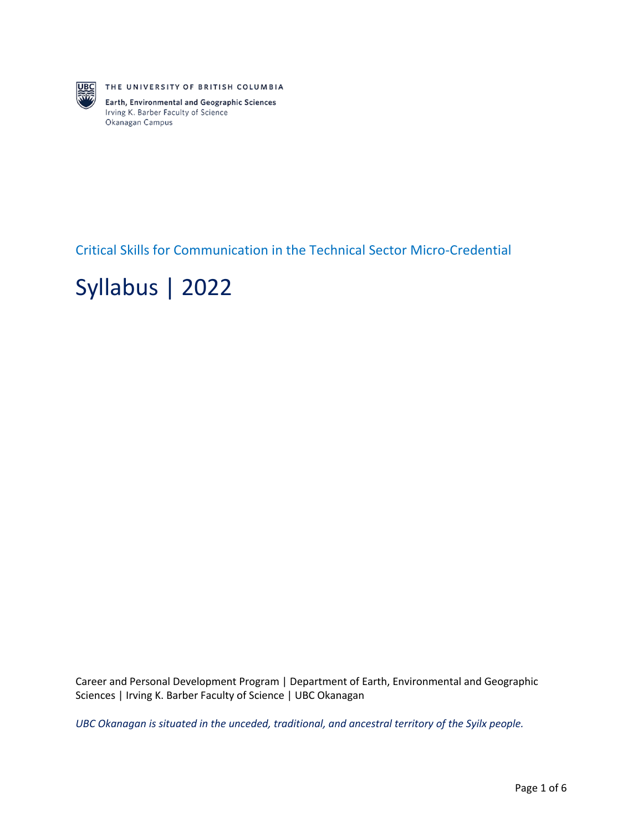

THE UNIVERSITY OF BRITISH COLUMBIA

Earth, Environmental and Geographic Sciences Irving K. Barber Faculty of Science Okanagan Campus

Critical Skills for Communication in the Technical Sector Micro-Credential

# Syllabus | 2022

Career and Personal Development Program | Department of Earth, Environmental and Geographic Sciences | Irving K. Barber Faculty of Science | UBC Okanagan

*UBC Okanagan is situated in the unceded, traditional, and ancestral territory of the Syilx people.*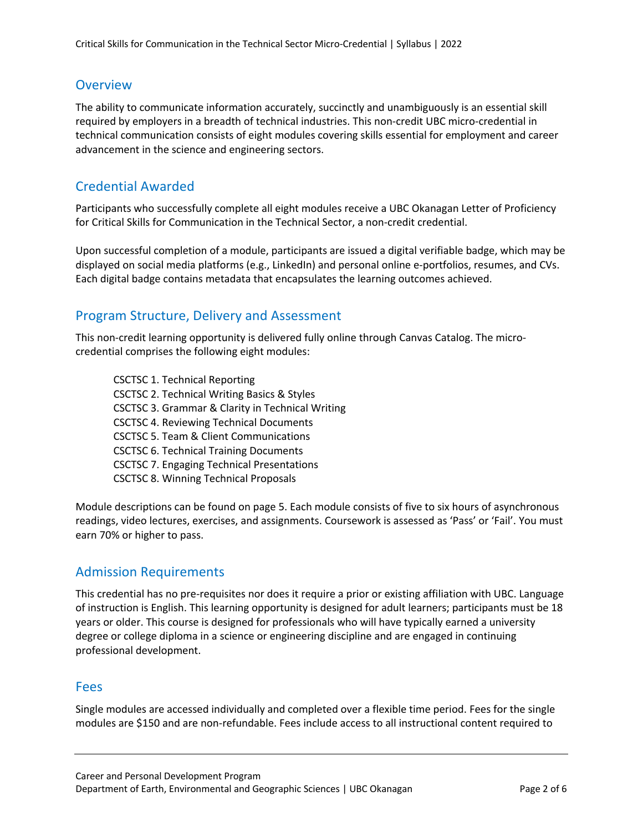### **Overview**

The ability to communicate information accurately, succinctly and unambiguously is an essential skill required by employers in a breadth of technical industries. This non-credit UBC micro-credential in technical communication consists of eight modules covering skills essential for employment and career advancement in the science and engineering sectors.

## Credential Awarded

Participants who successfully complete all eight modules receive a UBC Okanagan Letter of Proficiency for Critical Skills for Communication in the Technical Sector, a non-credit credential.

Upon successful completion of a module, participants are issued a digital verifiable badge, which may be displayed on social media platforms (e.g., LinkedIn) and personal online e-portfolios, resumes, and CVs. Each digital badge contains metadata that encapsulates the learning outcomes achieved.

### Program Structure, Delivery and Assessment

This non-credit learning opportunity is delivered fully online through Canvas Catalog. The microcredential comprises the following eight modules:

CSCTSC 1. Technical Reporting CSCTSC 2. Technical Writing Basics & Styles CSCTSC 3. Grammar & Clarity in Technical Writing CSCTSC 4. Reviewing Technical Documents CSCTSC 5. Team & Client Communications CSCTSC 6. Technical Training Documents CSCTSC 7. Engaging Technical Presentations CSCTSC 8. Winning Technical Proposals

Module descriptions can be found on page 5. Each module consists of five to six hours of asynchronous readings, video lectures, exercises, and assignments. Coursework is assessed as 'Pass' or 'Fail'. You must earn 70% or higher to pass.

### Admission Requirements

This credential has no pre-requisites nor does it require a prior or existing affiliation with UBC. Language of instruction is English. This learning opportunity is designed for adult learners; participants must be 18 years or older. This course is designed for professionals who will have typically earned a university degree or college diploma in a science or engineering discipline and are engaged in continuing professional development.

#### Fees

Single modules are accessed individually and completed over a flexible time period. Fees for the single modules are \$150 and are non-refundable. Fees include access to all instructional content required to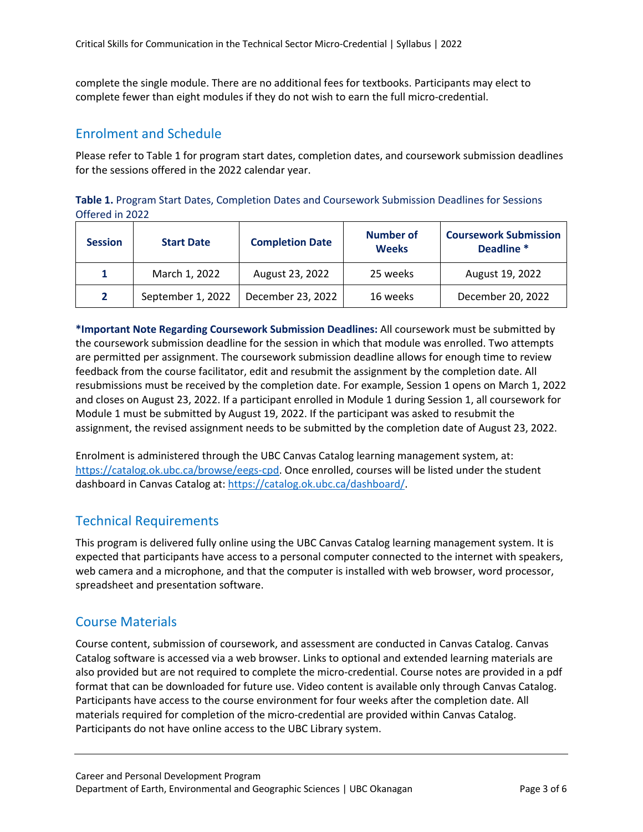complete the single module. There are no additional fees for textbooks. Participants may elect to complete fewer than eight modules if they do not wish to earn the full micro-credential.

### Enrolment and Schedule

Please refer to Table 1 for program start dates, completion dates, and coursework submission deadlines for the sessions offered in the 2022 calendar year.

**Table 1.** Program Start Dates, Completion Dates and Coursework Submission Deadlines for Sessions Offered in 2022

| <b>Session</b> | <b>Start Date</b> | <b>Completion Date</b> | <b>Number of</b><br><b>Weeks</b> | <b>Coursework Submission</b><br>Deadline <sup>*</sup> |
|----------------|-------------------|------------------------|----------------------------------|-------------------------------------------------------|
|                | March 1, 2022     | August 23, 2022        | 25 weeks                         | August 19, 2022                                       |
| 2              | September 1, 2022 | December 23, 2022      | 16 weeks                         | December 20, 2022                                     |

**\*Important Note Regarding Coursework Submission Deadlines:** All coursework must be submitted by the coursework submission deadline for the session in which that module was enrolled. Two attempts are permitted per assignment. The coursework submission deadline allows for enough time to review feedback from the course facilitator, edit and resubmit the assignment by the completion date. All resubmissions must be received by the completion date. For example, Session 1 opens on March 1, 2022 and closes on August 23, 2022. If a participant enrolled in Module 1 during Session 1, all coursework for Module 1 must be submitted by August 19, 2022. If the participant was asked to resubmit the assignment, the revised assignment needs to be submitted by the completion date of August 23, 2022.

Enrolment is administered through the UBC Canvas Catalog learning management system, at: https://catalog.ok.ubc.ca/browse/eegs-cpd. Once enrolled, courses will be listed under the student dashboard in Canvas Catalog at: https://catalog.ok.ubc.ca/dashboard/.

## Technical Requirements

This program is delivered fully online using the UBC Canvas Catalog learning management system. It is expected that participants have access to a personal computer connected to the internet with speakers, web camera and a microphone, and that the computer is installed with web browser, word processor, spreadsheet and presentation software.

### Course Materials

Course content, submission of coursework, and assessment are conducted in Canvas Catalog. Canvas Catalog software is accessed via a web browser. Links to optional and extended learning materials are also provided but are not required to complete the micro-credential. Course notes are provided in a pdf format that can be downloaded for future use. Video content is available only through Canvas Catalog. Participants have access to the course environment for four weeks after the completion date. All materials required for completion of the micro-credential are provided within Canvas Catalog. Participants do not have online access to the UBC Library system.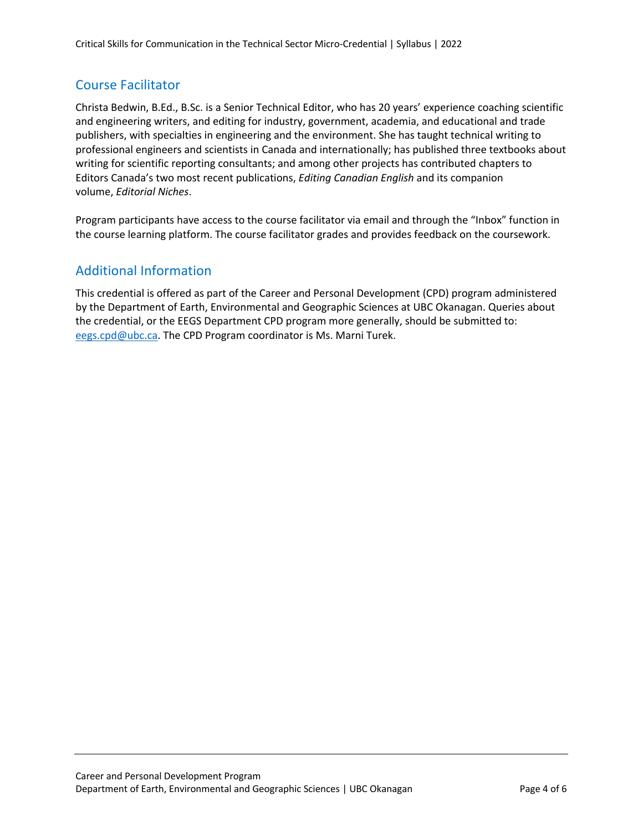## Course Facilitator

Christa Bedwin, B.Ed., B.Sc. is a Senior Technical Editor, who has 20 years' experience coaching scientific and engineering writers, and editing for industry, government, academia, and educational and trade publishers, with specialties in engineering and the environment. She has taught technical writing to professional engineers and scientists in Canada and internationally; has published three textbooks about writing for scientific reporting consultants; and among other projects has contributed chapters to Editors Canada's two most recent publications, *Editing Canadian English* and its companion volume, *Editorial Niches*.

Program participants have access to the course facilitator via email and through the "Inbox" function in the course learning platform. The course facilitator grades and provides feedback on the coursework.

## Additional Information

This credential is offered as part of the Career and Personal Development (CPD) program administered by the Department of Earth, Environmental and Geographic Sciences at UBC Okanagan. Queries about the credential, or the EEGS Department CPD program more generally, should be submitted to: eegs.cpd@ubc.ca. The CPD Program coordinator is Ms. Marni Turek.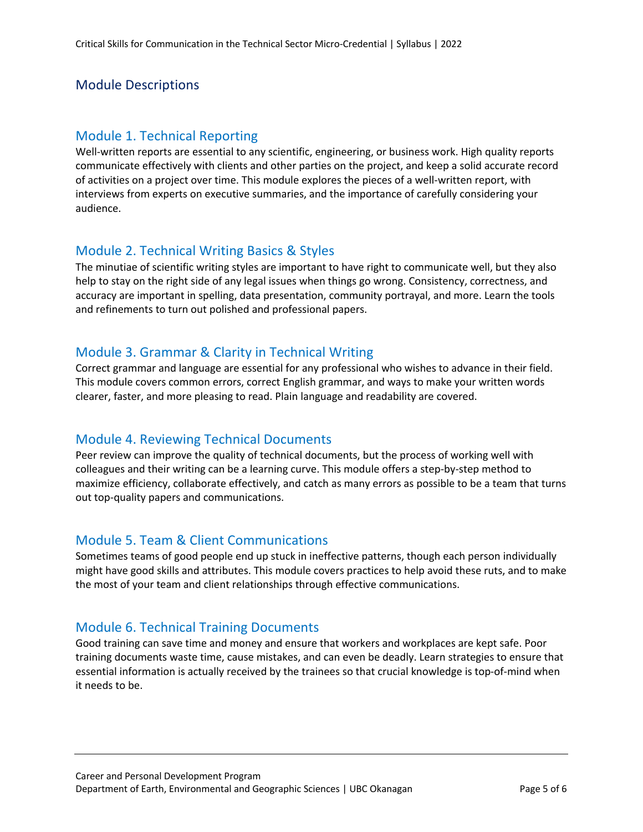## Module Descriptions

#### Module 1. Technical Reporting

Well-written reports are essential to any scientific, engineering, or business work. High quality reports communicate effectively with clients and other parties on the project, and keep a solid accurate record of activities on a project over time. This module explores the pieces of a well-written report, with interviews from experts on executive summaries, and the importance of carefully considering your audience.

## Module 2. Technical Writing Basics & Styles

The minutiae of scientific writing styles are important to have right to communicate well, but they also help to stay on the right side of any legal issues when things go wrong. Consistency, correctness, and accuracy are important in spelling, data presentation, community portrayal, and more. Learn the tools and refinements to turn out polished and professional papers.

## Module 3. Grammar & Clarity in Technical Writing

Correct grammar and language are essential for any professional who wishes to advance in their field. This module covers common errors, correct English grammar, and ways to make your written words clearer, faster, and more pleasing to read. Plain language and readability are covered.

### Module 4. Reviewing Technical Documents

Peer review can improve the quality of technical documents, but the process of working well with colleagues and their writing can be a learning curve. This module offers a step-by-step method to maximize efficiency, collaborate effectively, and catch as many errors as possible to be a team that turns out top-quality papers and communications.

### Module 5. Team & Client Communications

Sometimes teams of good people end up stuck in ineffective patterns, though each person individually might have good skills and attributes. This module covers practices to help avoid these ruts, and to make the most of your team and client relationships through effective communications.

### Module 6. Technical Training Documents

Good training can save time and money and ensure that workers and workplaces are kept safe. Poor training documents waste time, cause mistakes, and can even be deadly. Learn strategies to ensure that essential information is actually received by the trainees so that crucial knowledge is top-of-mind when it needs to be.